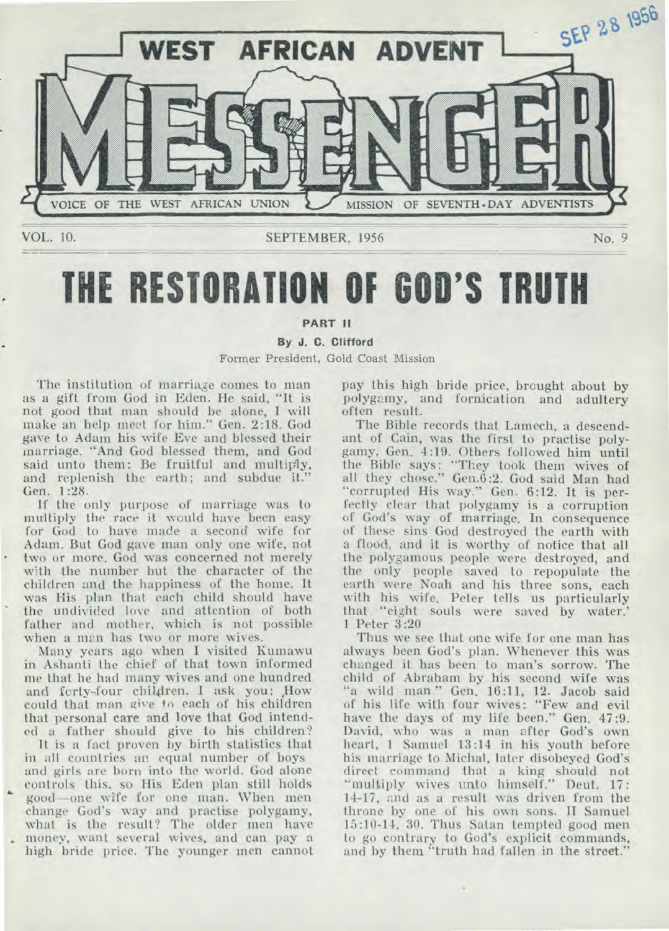

# **THE RESTORATION OF GOD'S TRUTH**

## **PART II**

## **By J. C.** Clifford Former President, Gold Coast Mission

The institution of marriage comes to man as a gift from God in Eden. He said, "It is not good that man should be alone, **I** will make an help meet for him." Gen. 2:18. God gave to Adam his wife Eve and blessed their marriage. "And God blessed them, and God said unto them: Be fruitful and multiply, and replenish the earth; and subdue it." Gen. 1:28.

If the only purpose of marriage was to multiply the race it would have been easy for God to have made a second wife for Adam. But God gave man only one wife, not two or more. God was concerned not merely with the number but the character of the children and the happiness of the home. It was His plan that each child should have the undivided love and attention of both father and mother, which is not possible when a man has two or more wives.

Many years ago when **I** visited Kumawu in Ashanti the chief of that town informed me that he had many wives and one hundred and forty-four children. I ask you: How could that man give to each of his children that personal **care and love** that God intended a father should give to his children?

It is a fact proven by birth statistics that in all countries an equal number of boys and girls are born into the world. God alone controls this, so His Eden plan still holds good—one wife for one man. When men change God's way and practise polygamy, what is the result? The older men have money, want several wives, and can pay a high bride price. The younger men cannot pay this high bride price, brought about by polygamy, and fornication and adultery often result.

The Bible records that Lamech, a descendant of Cain, was the first to practise polygamy, Gen. 4:19. Others followed him until the Bible says: "They took them wives of all they chose." Gen.6:2. God said Man had "corrupted His way." Gen. 6:12. It is perfectly clear that polygamy is a corruption of God's way **of marriage. In** consequence of these sins God destroyed the earth with a flood, and it is worthy of notice that all the polygamous people were destroyed, and the only people saved to repopulate the earth were Noah and his three sons, each with his wife. Peter tells us particularly that "eight souls were saved by water.' 1 Peter 3:20

Thus we see that one wife for one man has always been God's plan. Whenever this was changed it has been to man's sorrow. The child of Abraham by his second wife was "a wild man." Gen. 16:11, 12. Jacob said of his life with four wives: "Few and evil have the days of my life been." Gen. 47:9. David, who was a man after God's own heart, 1 Samuel 13:14 in his youth before his marriage to Michal, later disobeyed God's direct command that a king should not "multiply wives unto himself." Deut. 17: 14-17, and as a result was driven from the throne by one of his own sons. **II** Samuel 15:10-14, 30. Thus Satan tempted good men to go contrary to God's explicit commands, and by them "truth had fallen in the street."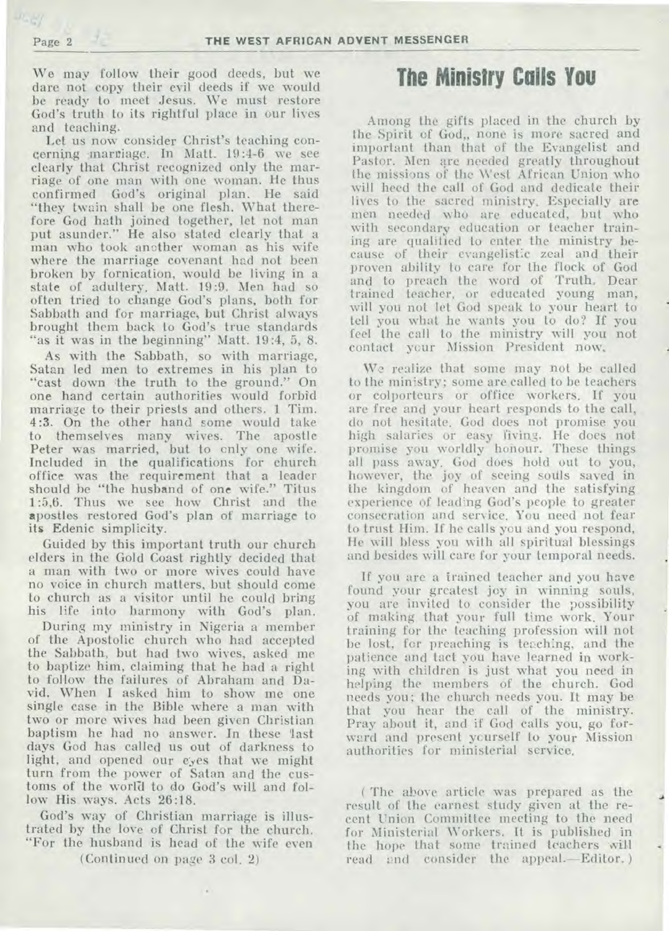We may follow their good deeds, but we dare not copy their evil deeds if we would be ready to meet Jesus. We must restore God's truth to its rightful place in our lives and teaching.

Let us now consider Christ's teaching concerning marriage. In Matt. 19:4-6 we see clearly that Christ recognized only the marriage of one man with one woman. He thus confirmed God's original plan. He said "they twain shall be one flesh. What therefore God hath joined together, let not man put asunder." He also stated clearly that a man who took another woman as his wife where the marriage covenant had not been broken by fornication, would be living in a state of adultery. Matt. 19:9. Men had so often tried to change God's plans, both for Sabbath and for marriage, but Christ always brought them back to God's true standards "as it was in the beginning" Matt. 19:4, 5, 8.

As with the Sabbath, so with marriage, Satan led men to extremes in his plan to "cast down the truth to the ground." On one hand certain authorities would forbid marriage to their priests and others. 1 Tim. 4:3. On the other hand some would take to themselves many wives. The apostle Peter was married, but to only one wife. Included in the qualifications for church office was the requirement that a leader should be "the husband of one wife." Titus 1:5,6. Thus we see how Christ and the apostles restored God's plan of marriage to its Edenic simplicity.

Guided by this important truth our church elders in the Gold Coast rightly decided that a man with two or more wives could have no voice in church matters, but should come to church as a visitor until he could bring his life into harmony with God's plan.

During my ministry in Nigeria a member of the Apostolic church who had accepted the Sabbath, but had two wives, asked me to baptize him, claiming that he had a right to follow the failures of Abraham and David. When I asked him to show me one single case in the Bible where a man with two or more wives had been given Christian baptism he had no answer. In these last days God has called us out of darkness to light, and opened our eyes that we might turn from the power of Satan and the customs of the world to do God's will and follow His ways. Acts 26:18.

God's way of Christian marriage is illustrated by the love of Christ for the church. "For the husband is head of the wife even

(Continued on page 3 col. 2)

 $\,$  .

# **The Ministry Calls You**

Among the gifts placed in the church by the Spirit of God,, none is more sacred and important than that of the Evangelist and Pastor. Men are needed greatly throughout the missions of the West African Union who will heed the call of God and dedicate their lives to the sacred ministry. Especially are men needed who are educated, but who with secondary education or teacher training are qualified to enter the ministry because of their evangelistic zeal and their proven ability to care for the flock of God and to preach the word of Truth. Dear trained teacher, or educated young man, will you not let God speak to your heart to tell you what he wants you to do? If you feel the call to the ministry will you not contact your Mission President now.

We realize that some may not be called to the ministry; some are called to be teachers or colporteurs or office workers. If you are free and your heart responds to the call, do not hesitate. God does not promise you high salaries or easy living. He does not promise you worldly honour. These things all pass away. God does hold out to you, however, the joy of seeing souls saved in the kingdom of heaven and the satisfying experience of leading God's people to greater consecration and service. You need not fear to trust Him. If he calls you and you respond, He will bless you with all spiritual blessings and besides will care for your temporal needs.

If you are a trained teacher and you have found your greatest joy in winning souls, you are invited to consider the possibility of making that your full time work. Your training for the teaching profession will not be lost, for preaching is teaching, and the patience and tact you have learned in working with children is just what you need in helping the members of the church. God needs you; the church needs you. It may be that you hear the call of the ministry. Pray about it, and if God calls you, go forward and present yourself to your Mission authorities for ministerial service.

( The above article was prepared as the result of the earnest study given at the recent Union Committee meeting to the need for Ministerial Workers. It is published in the hope that some trained teachers will read and consider the appeal.—Editor. )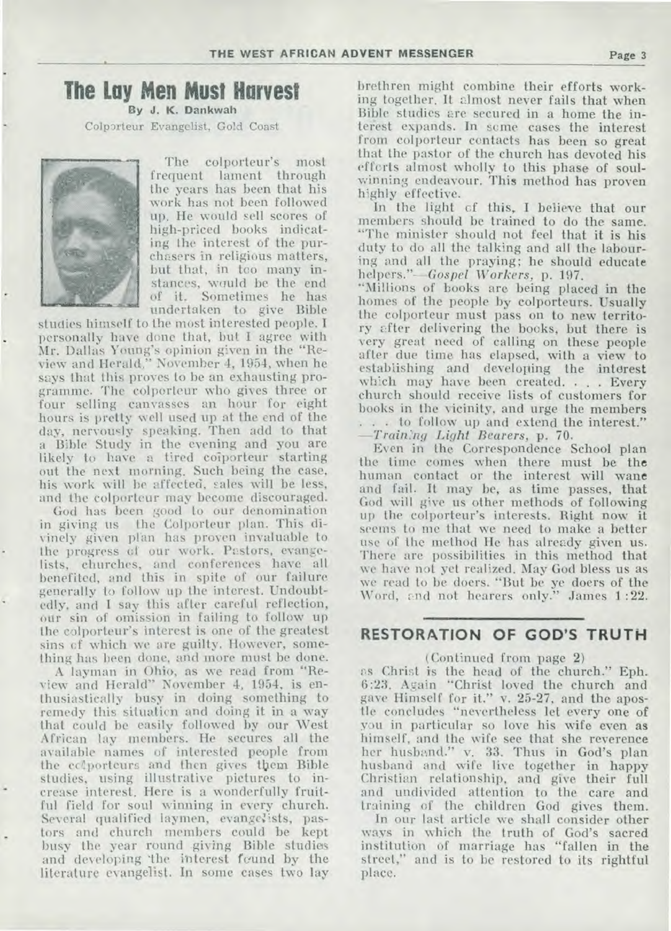## **The Lay Men Must Harvest**

**By J. K. Dankwah**  Colporteur Evangelist, Gold Coast



The colporteur's most frequent lament through the years has been that his work has not been followed up. He would sell scores of high-priced books indicating the interest of the purchasers in religious matters, but that, in too many instances, would be the end of it. Sometimes he has undertaken to give Bible

studies himself to the most interested people. I personally have done that, but I agree with Mr. Dallas Young's opinion given in the "Review and Herald," November 4, 1954, when he says that this proves to be an exhausting programme. The colporteur who gives three or four selling canvasses an hour for eight hours is pretty well used up at the end of the day, nervously speaking. Then add to that a Bible Study in the evening and you are likely to have a tired coiporteur starting out the next morning. Such being the case, his work will be affected, sales will be less, and the colporteur may become discouraged.

God has been good to our denomination in giving us the Colporteur plan. This divinely given plan has proven invaluable to the progress of our work. Pastors, evangelists, churches, and conferences have all benefited, and this in spite of our failure generally to follow up the interest. Undoubtedly, and I say this after careful reflection, our sin of omission in failing to follow up the colporteur's interest is one of the greatest sins cf which we are guilty. However, something has been done, and more must be done.

A layman in Ohio, as we read from "Review and Herald" November 4, 1954, is enthusiastically busy in doing something to remedy this situation and doing it in a way that could be easily followed by our West African lay members. He secures all the available names of interested people from the colporteurs and then gives them Bible studies, using illustrative pictures to increase interest. Here is a wonderfully fruitful field for soul winning in every church. Several qualified laymen, evangelists, pastors and church members could be kept busy the year round giving Bible studies and developing 'the interest feund by the literature evangelist. In some cases two lay brethren might combine their efforts working together. It almost never fails that when Bible studies are secured in a home the interest expands. In some cases the interest from colporteur contacts has been so great that the pastor of the church has devoted his efforts almost wholly to this phase of soulwinning endeavour. This method has proven highly effective.

In the light cf this, I believe that our members should be trained to do the same. "The minister should not feel that it is his duty to do all the talking and all the labouring and all the praying; he should educate *helpers."--Gospel Workers,* p. 197.

"Millions of books are being placed in the homes of the people by colporteurs. Usually the colporteur must pass on to new territory after delivering the books, but there is very great need of calling on these people after due time has elapsed, with a view to establishing and developing the interest which may have been created. . . . Every church should receive lists of customers for books in the vicinity, and urge the members . . . to follow up and extend the interest." *—Train,'ng Light Bearers,* p. 70.

Even in the Correspondence School plan the time comes when there must be the human contact or the interest will wane and fail. It may be, as time passes, that God will give us other methods of following up the colporteur's interests. Right now it seems to me that we need to make a better use of the method He has already given us. There are possibilities in this method that we have not yet realized. May God bless us as we read to be doers. "But be ye doers of the Word, and not hearers only." James 1:22.

## **RESTORATION OF GOD'S TRUTH**

#### (Continued from page 2)

as Christ is the head of the church." Eph. 6:23. Again "Christ loved the church and gave Himself for it." v. 25-27, and the apostle concludes "nevertheless let every one of you in particular so love his wife even as himself, and the wife see that she reverence her husband." v. 33. Thus in God's plan husband and wife live together in happy Christian relationship, and give their full and undivided attention to the care and training of the children God gives them.

In our last article we shall consider other ways in which the truth of God's sacred institution of marriage has "fallen in the street," and is to be restored to its rightful place.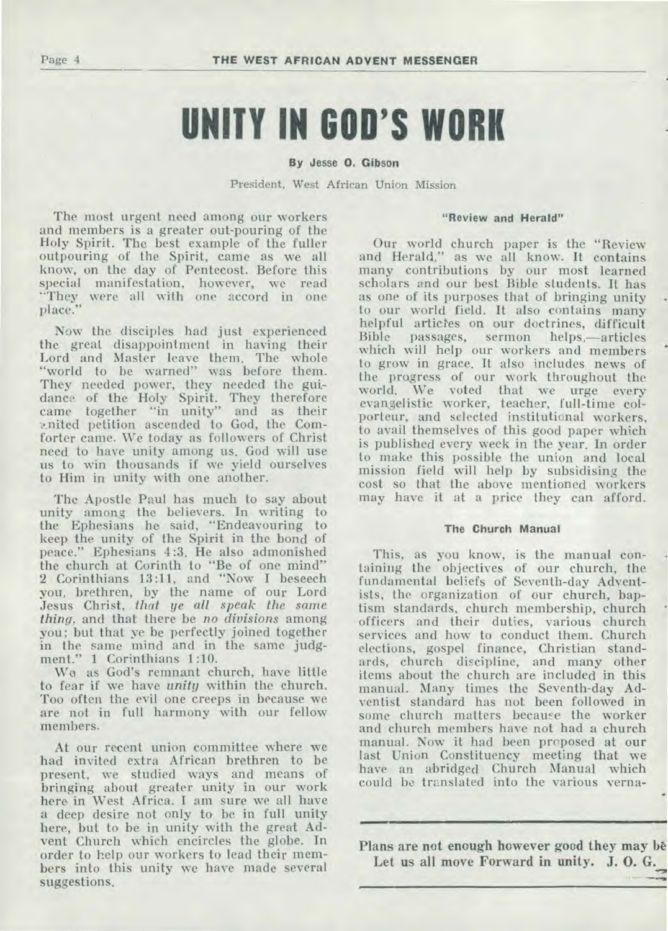# **UNITY IN GOD'S WORK**

By Jesse 0. Gibson

President, West African Union Mission

The most urgent need among our workers and members is a greater out-pouring of the Holy Spirit. The best example of the fuller outpouring of the Spirit, came as we all know, on the day of Pentecost. Before this special manifestation, however, we read "They were all with one accord in one place."

Now the disciples had just experienced the great disappointment in having their Lord and Master leave them. The whole "world to be warned" was before them. They needed power, they needed the guidance of the Holy Spirit. They therefore came together "in unity" and as their 1..nited petition ascended to God, the Comforter came. We today as followers of Christ need to have unity among us. God will use us to win thousands if we yield ourselves to Him in unity with one another.

The Apostle Paul has much to say about unity among the believers. In writing to the Ephesians he said, "Endeavouring to keep the unity of the Spirit in the bond of peace." Ephesians 4:3. He also admonished the church at Corinth to "Be of one mind" 2 Corinthians 13:11, and "Now I beseech you, brethren, by the name of our Lord Jesus Christ, *that ye all speak the same thing,* and that there be *no divisions* among you; but that ye be perfectly joined together in the same mind and in the same judgment." 1 Corinthians 1:10.

We as God's remnant church, have little to fear if we have *unity* within the church. Too often the evil one creeps in because we are not in full harmony with our fellow members.

At our recent union committee where we had invited extra African brethren to be present, we studied ways and means of bringing about greater unity in our work here in West Africa. I am sure we all have a deep desire not only to be in full unity here, but to be in unity with the great Advent Church which encircles the globe. In order to help our workers to lead their members into this unity we have made several suggestions.

#### **"Review and Herald"**

Our world church paper is the "Review and Herald," as we all know. It contains many contributions by our most learned scholars and our best Bible students. It has as one of its purposes that of bringing unity to our world field. It also contains many helpful articles on our doctrines, difficult Bible passages, sermon helps,—articles which will help our workers and members to grow in grace. It also includes news of the progress of our work throughout the world. We voted that we urge every evangelistic worker, teacher, full-time colporteur, and selected institutional workers, to avail themselves of this good paper which is published every week in the year. In order to make this possible the union and local mission field will help by subsidising the cost so that the above mentioned workers may have it at a price they can afford.

#### **The Church Manual**

This, as you know, is the manual containing the objectives of our church, the fundamental beliefs of Seventh-day Adventists, the organization of our church, baptism standards, church membership, church officers and their duties, various church services and how to conduct them. Church elections, gospel finance, Christian standards, church discipline, and many other items about the church are included in this manual. Many times the Seventh-day Adventist standard has not been followed in some church matters because the worker and church members have not had a church manual. Now it had been proposed at our last Union Constituency meeting that we have an abridged Church Manual which could be translated into the various verna-

Plans are not enough however good they may be **Let us all move Forward in unity. J. 0. G.**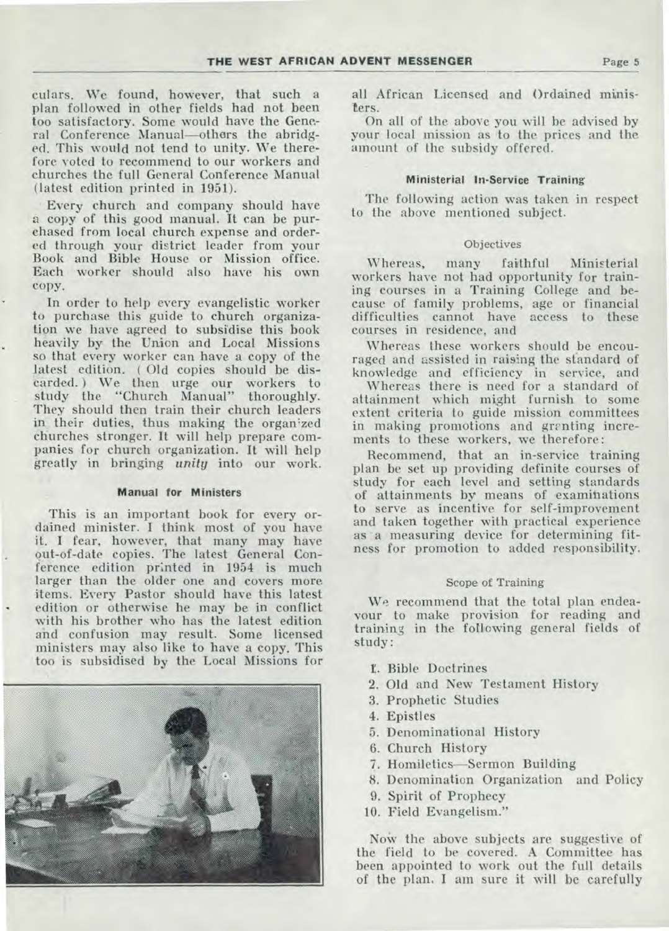**culars. We found, however, that such a plan followed in other fields had not been too satisfactory. Some would have the General Conference Manual—others the abridged. This would not tend to unity. We therefore voted to recommend to our workers and churches the full General Conference Manual (latest edition printed in 1951).** 

**Every church and company should have a copy of this good manual. It can be purchased from local church expense and ordered through your district leader from your Book and Bible House or Mission office. Each worker should also have his own copy.** 

**In order to help every evangelistic worker to purchase this guide to church organization we have agreed to subsidise this book heavily by the Union and Local Missions so that every worker can have a copy of the latest edition. ( Old copies should be discarded.) We then urge our workers to study the "Church Manual" thoroughly. They should then train their church leaders in their duties, thus making the organ:zed churches stronger. It will help prepare companies for church organization. It will help greatly in bringing** *unity* **into our work.** 

#### **Manual for Ministers**

**This is an important book for every ordained minister. I think most of you have it. I fear, however, that many may have out-of-date copies. The latest General Conference edition printed in 1954 is much larger than the older one and covers more items. Every Pastor should have this latest edition or otherwise he may be in conflict with his brother who has the latest edition and confusion may result. Some licensed ministers may also like to have a copy. This too is subsidised** by **the Local Missions for** 



**all African Licensed and Ordained ministers.** 

**On all of the above you will be advised by your local mission as to the prices and the amount of the subsidy offered.** 

#### **Ministerial In-Service Training**

**The following action was taken in respect to the above mentioned subject.** 

#### Objectives

**Whereas, many faithful Ministerial workers have not had opportunity for training courses in a Training College and because of family problems, age or financial difficulties cannot have access to these courses in residence, and** 

**Whereas these workers should be encouraged and assisted in raising the standard of knowledge and efficiency in service, and** 

**Whereas there is need for a standard of attainment which might furnish to some extent criteria to guide mission committees**  in making promotions and granting incre**ments to these workers, we therefore:** 

**Recommend, that an in-service training plan be set up providing definite courses of study for each level and setting standards of attainments by means of examinations to serve as incentive for self-improvement and taken together with practical experience as a measuring device for determining fitness for promotion to added responsibility.** 

#### Scope of Training

We **recommend that the total plan endeavour to make provision for reading and training in the following general fields of study:** 

- t. **Bible Doctrines**
- **2. Old and New Testament History**
- **3. Prophetic Studies**
- **4. Epistles**
- **5. Denominational History**
- **6. Church History**
- **7. Homiletics—Sermon Building**
- **8. Denomination Organization and Policy**
- **9. Spirit of Prophecy**
- **10. Field Evangelism."**

Now the above subjects are suggestive of **the field to be covered. A Committee has been appointed to work out the full details of the plan. I am sure it will** be carefully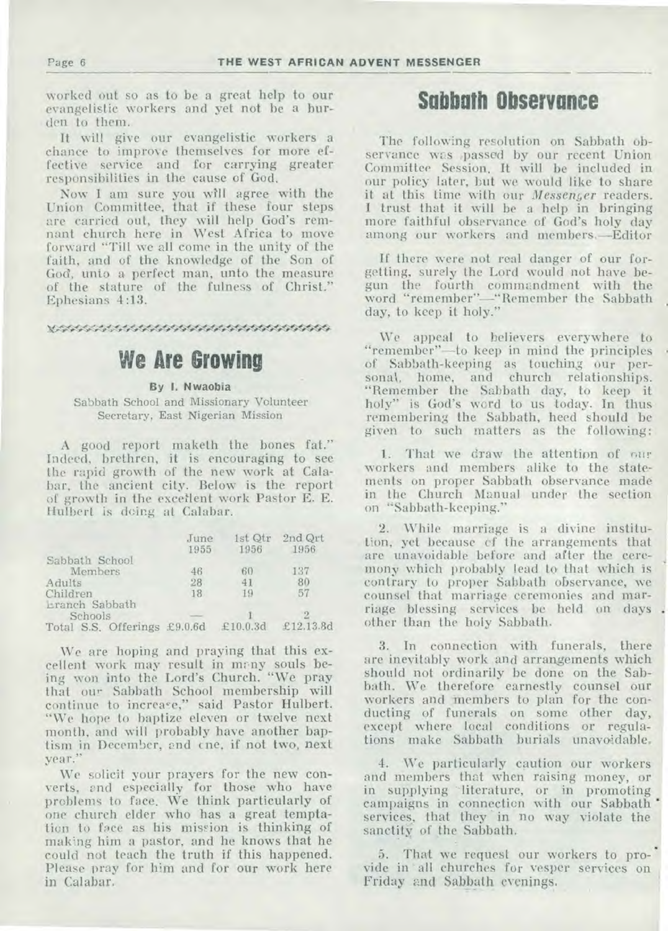worked out so as to be a great help to our evangelistic workers and yet not be a burden to them.

It will give our evangelistic workers a chance to improve themselves for more effective service and for carrying greater responsibilities in the cause of God.

Nov I am sure you will agree with the Union Committee, that if these four steps are carried out, they will help God's remnant church here in West Africa to move forward "Till we all come in the unity of the faith, and of the knowledge of the Son of God, unto a perfect man, unto the measure of the stature of the fulness of Christ." Ephesians 4:13.

**• •** 

# **We Are Growing**

**By I. Nwaobia** 

Sabbath School and Missionary Volunteer Secretary, East Nigerian Mission

A good report maketh the bones fat." Indeed, brethren, it is encouraging to see the rapid growth of the new work at Calabar, the ancient city. Below is the report of growth in the excellent work Pastor E. E. Hulbert is doing at Calabar.

|                              | June<br>1955 | 1st Qtr<br>1956 | 2nd Qrt<br>1956 |
|------------------------------|--------------|-----------------|-----------------|
| Sabbath School               |              |                 |                 |
| Members                      | 46           | 60              | 137             |
| Adults                       | 28           | 41              | 80              |
| Children<br>Lranch Sabbath   | 18           | 19              | 57              |
| Schools                      |              |                 |                 |
| Total S.S. Offerings £9.0.6d |              | £10.0.3d        | £12.13.8d       |

We are hoping and praying that this excellent work may result in many souls being won into the Lord's Church. "We pray that our Sabbath School membership will continue to increase," said Pastor Hulbert. "We hope to baptize eleven or twelve next month, and will probably have another baptism in December, and cne, if not two, next year."

We solicit your prayers for the new converts, and especially for those who have problems to face. We think particularly of one church elder who has a great temptation to face as his mission is thinking of making him a pastor, and he knows that he could not teach the truth if this happened. Please pray for him and for our work here in Calabar.

## **Sabbath Observance**

The following resolution on Sabbath observance was ,passed by our recent Union Committee Session. It will be included in our policy later, but we would like to share it at this time with our *Messenger* readers. I trust that it will be a help in bringing more faithful observance of God's holy day among our workers and members.—Editor

If there were not real danger of our forgetting, surely the Lord would not have begun the fourth commandment with the word "remember"—"Remember the Sabbath day, to keep it holy."

We appeal to believers everywhere to "remember"—to keep in mind the principles of Sabbath-keeping as touching our personal, home, and church relationships. "Remember the Sabbath day, to keep it holy" is God's word to us today. In thus remembering the Sabbath, heed should be given to such matters as the following:

1. That we draw the attention of our workers and members alike to the statements on proper Sabbath observance made in the Church Manual under the section on "Sabbath-keeping."

2. While marriage is a divine institution, yet because cf the arrangements that are unavoidable before and after the ceremony which probably lead to that which is contrary to proper Sabbath observance, we counsel that marriage ceremonies and marriage blessing services be held on days . other than the holy Sabbath.

3. In connection with funerals, there are inevitably work and arrangements which should not ordinarily be done on the Sabbath. We therefore earnestly counsel our workers and members to plan for the conducting of funerals on some other day, except where local conditions or regulations make Sabbath burials unavoidable.

4. We particularly caution our workers and members that when raising money, or in supplying literature, or in promoting campaigns in connection with our Sabbath services, that they in no way violate the sanctity of the Sabbath.

5. That we request our workers to provide in all churches for vesper services on Friday and Sabbath evenings.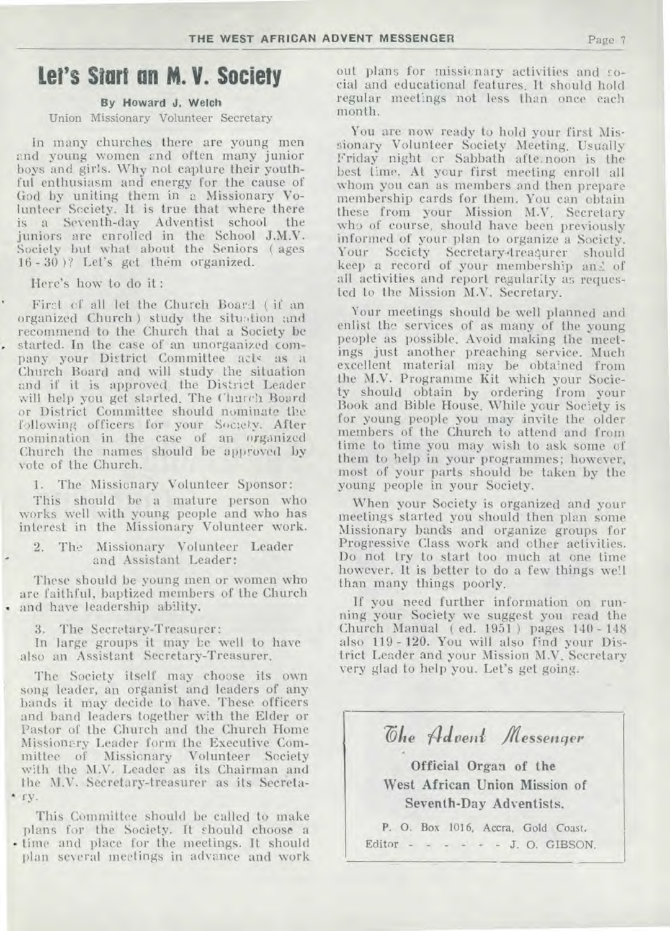## **Let's Start an M. V. Society**

### **By Howard J. Welch**

#### Union Missionary Volunteer Secretary

In many churches there are young men and young women and often many junior boys and girls. Why not capture their youthful enthusiasm and energy for the cause of God by uniting them in a Missionary Volunteer Society. It is true that where there is a Seventh-day Adventist school the juniors are enrolled in the School J.M.V. Society but what about the Seniors ( ages 16 - 30 )? Let's get them organized.

Here's how to do it :

First of all let the Church Board ( if an organized Church) study the situation and recommend to the Church that a Society be • started. In the case of an unorganized company your District Committee acts as a Church Board and will study the situation and if it is approved, the District Leader will help you get started. The Church Board or District Committee should nominate the following officers for your Society. After nomination in the case of an organized Church the names should be approved by vote of the Church.

1. The Missionary Volunteer Sponsor:

This should be a mature person who works well with young people and who has interest in the Missionary Volunteer work.

2. The Missionary Volunteer Leader and Assistant Leader:

These should be young men or women who are faithful, baptized members of the Church and have leadership ability.

3. The Secretary-Treasurer:

In large groups it may be well to have also an Assistant Secretary-Treasurer.

The Society itself may choose its own song leader, an organist and leaders of any bands it may decide to have. These officers and band leaders together with the Elder or Pastor of the Church and the Church Home Missionary Leader form the Executive Committee of Missionary Volunteer Society with the M.V. Leader as its Chairman and the M.V. Secretary-treasurer as its Secreta- • fy.

This Committee should be called to make plans for the Society. It should choose a - time and place for the meetings. It should plan several meetings in advance and work out plans for missicnary activities and social and educational features. It should hold regular meetings not less than once each month.

You are now ready to hold your first Missionary Volunteer Society Meeting. Usually Friday night cr Sabbath afte.noon is the best time. At your first meeting enroll all whom you can as members and then prepare membership cards for them. You can obtain these from your Mission M.V. Secretary who of course, should have been previously informed of your plan to organize a Society. Your Scciety Secretary-treasurer should keep a record of your membership and of all activities and report regularity as requested to the Mission M.V. Secretary.

Your meetings should be well planned and enlist the services of as many of the young people as possible. Avoid making the meetings just another preaching service. Much excellent material may be obtained from the M.V. Programme Kit which your Society should obtain **by** ordering from your Book and Bible House. While your Society is for young people you may invite the older members of the Church to attend and from time to time you may wish to ask some of them to help in your programmes; however, most of your parts should be taken by the young people in your Society.

When your Society is organized and your meetings started you should then plan some Missionary bands and organize groups for Progressive Class work and other activities. Do not try to start too much at one time however. It is better to do a few things well than many things poorly.

If you need further information on running your Society we suggest you read the Church Manual ( ed. 1951 ) pages 140 - 148 also 119 - **120.** You will also find your District Leader and your Mission M.V. Secretary very glad to help you. Let's get going.

 $\ddot{\text{o}}$ *he* Advent *Messenger* 

**Official Organ of the West African Union Mission of Seventh-Day Adventists.** 

**P. O.** Box 1016, Accra, Gold Coast. Editor  $- - - - - - - -$  J. O. GIBSON.